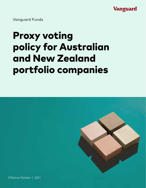

Vanguard Funds

# Proxy voting policy for Australian and New Zealand portfolio companies

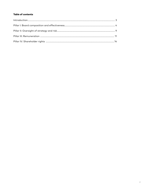# **Table of contents**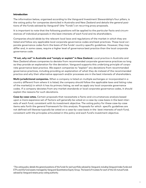# Introduction

The information below, organised according to the Vanguard Investment Stewardship's four pillars, is the voting policy for companies domiciled in Australia and New Zealand and details the general positions of the funds advised by Vanguard<sup>1</sup> (the "funds") on recurring proxy proposals.

It is important to note that the following positions will be applied to the particular facts and circumstances of individual proposals in the best interests of each fund and its shareholders.

Companies should abide by the relevant local laws and regulations of the market in which they are listed and follow any applicable local corporate governance codes and best practices. These local corporate governance codes form the basis of the funds' country-specific guidelines. However, they may differ and, in some cases, require a higher level of governance best practice than the local corporate governance code.

**"If not, why not" in Australia and "comply or explain" in New Zealand.** Local practice in Australia and New Zealand allows companies to deviate from recommended corporate governance practices so long as they provide an explanation for the deviation. Vanguard supports this underlying principle of corporate governance best practice. We expect companies to "explain" any deviations from recommended governance practices, including providing an explanation of what they do instead of the recommended practice and why their alternative approach and/or processes are in the best interests of shareholders.

**Multi-jurisdictional companies.** When a company is listed on multiple exchanges or incorporated in a country different from where it is listed, the company should follow the applicable laws and listing rules of the market(s) in which it has its primary listing, as well as apply any local corporate governance codes. If a company deviates from any market standards or local corporate governance codes, it should explain the reasons for such deviations.

**Case-by-case votes.** Certain proposals that necessitate a facts-and-circumstances analysis based upon a more expansive set of factors will generally be voted on a case-by-case basis in the best interests of each fund, consistent with its investment objective. The voting policy for these case-by-case items sets forth the general framework for this analysis. Proposals for which specific guidelines are not defined will likewise typically be voted on a case-by-case basis in the best interests of each fund, consistent with the principles articulated in this policy and each fund's investment objective.

1 This voting policy details the general positions of the funds for each portfolio advised by Vanguard, including Vanguard index funds and ETFs and the fund assets managed by Vanguard Quantitative Equity Group. The board of trustees for each of the US mutual funds advised by Vanguard retains proxy voting authority.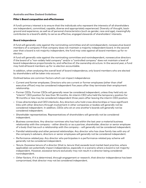#### Pillar I: Board composition and effectiveness

A fund's primary interest is to ensure that the individuals who represent the interests of all shareholders are independent, committed, capable, diverse and appropriately experienced. Diversity of thought, background and experience, as well as of personal characteristics (such as gender, race and age), meaningfully contributes to a board's ability to serve as effective, engaged stewards of shareholders' interests.

#### **Board independence**

A fund will generally vote against the nominating committee and all nonindependent, nonexecutive board members of a company if that company does not maintain a majority independent board. In the second year that a board is not majority independent, the fund may vote against all board members up for reelection.

A fund will generally vote against the nominating committee and nonindependent, nonexecutive directors if the board of a "non-widely held company" and/or a "controlled company" does not maintain a level of board independence proportionate to, and reflective of, the ownership structure. In the second year, a fund may hold all board members up for re-election accountable.

In addition, when analysing the overall level of board independence, only board members who are elected by shareholders will be taken into account.

Outlined below are common factors which can impact independence:

- *Current and former employees.* Directors who are current or former employees (other than chief executive officer) may be considered independent five years after they terminate their employment relationship.
- *Former CEOs.* Former CEOs will generally never be considered independent, unless they held only an "interim" CEO position for less than 18 months. An interim CEO who held the temporary position for 18 months or less may be considered independent three years after leaving the interim CEO position.
- *Cross-directorships and CEO interlocks.* Any directors who hold cross-directorships or have significant links with other directors through involvement in other companies or bodies will generally not be considered independent. In addition, CEOs who sit on one another's boards will generally not be considered independent.
- *Shareholder representatives.* Representatives of shareholders will generally not be considered independent.
- *Business connections*. Any director nominee who has had within the last year a material business relationship with the company – either directly or as a partner, shareholder, director or senior employee of a body that has such a relationship with the company – will generally not be considered independent.
- *Familial relationship and other personal relationships.* Any director who has close family ties with any of the company's advisers, directors or senior employees will generally not be considered independent.
- *Performance-related pay.* Any director who participates in a performance-related pay scheme will generally not be considered independent.
- *Tenure.* Excessive tenure of a director (that is, tenure that exceeds local market best practice, where applicable) can potentially impact independence, especially in a scenario where a board is not majority independent. However, excessive tenure exclusively may not result in a director being considered nonindependent.
- *Other factors.* If it is determined, through engagement or research, that director independence has been compromised, that director may not be considered independent.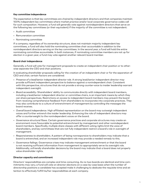# **Key committee independence**

The expectation is that key committees are chaired by independent directors and that companies maintain 100% independent key committees where market practice and/or local corporate governance codes call for such composition. However, a fund will generally vote against nonindependent directors that serve on the following key committees (or their equivalent) if the majority of the committee is not independent:

- Audit committee
- Remuneration committee
- Nominating committee

If a company, regardless of its ownership structure, does not maintain majority independent key committees, a fund will also hold the nominating committee chair accountable in addition to the nonindependent directors serving on the key committees. In the second year, a fund will hold the entire nominating committee accountable. In both instances, if nominating committee members are not up for election in a given year, a fund may vote against another relevant board member.

# **Board chair independence**

Generally, a fund will vote for management proposals to create an independent chair position or to otherwise separate the CEO and chair positions.

In evaluating shareholder proposals calling for the creation of an independent chair or for the separation of CEO and chair, certain factors are considered:

- *Presence of a lead/senior independent director role.* A strong lead/senior independent director may provide sufficient independent perspective to balance against a nonindependent chair. Consistent with this perspective, structures that do not provide a strong counter-voice to insider leadership warrant independent oversight.
- *Board accessibility.* Shareholders' ability to communicate directly with independent board members, including a lead/senior independent director or committee chairs, is an important means by which they can share perspectives. Restrictions on access to independent board members may prevent the board from receiving comprehensive feedback from shareholders to incorporate into corporate practices. They may also contribute to a culture of entrenchment of management by controlling the messages the board receives.
- *Overall board independence.* High affiliated representation on the board may outweigh independent voices and further entrench the insider leadership. Enhancing the role of independent directors may offer a counterweight to the nonindependent voices on the board.
- *Governance structural flaws.* Certain governance practices and corporate structures may create an environment more favourable to potential entrenchment by management and other nonindependent board members. Specifically, multiple share classes with different voting rights limit the voice of shareholders, and key committees that are not fully independent restrict a board's role in oversight of management.
- *Responsiveness to shareholders.* A pattern of being nonresponsive to shareholders may indicate that a board is entrenched, and an increased independent role may provide a needed remedy to this.
- *Governance failings.* Governance crises may indicate management entrenchment or that the board is not receiving sufficient information from management to appropriately serve its oversight role. Additionally, unfriendly shareholder decisions by the board may indicate that a board does not properly value shareholder rights.

#### **Director capacity and commitment**

Directors' responsibilities are complex and time-consuming. As no two boards are identical and time commitments may vary, a fund will vote on director elections on a case-by-case basis when the number of directorship positions a candidate has accepted make it challenging to dedicate the requisite time and attention to effectively fulfill his/her responsibilities at each company.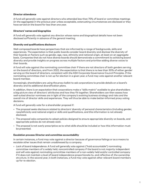# **Director attendance**

A fund will generally vote against directors who attended less than 75% of board or committee meetings (in the aggregate) in the previous year unless acceptable, extenuating circumstances are disclosed or they have served on the board for less than one year.

# **Directors' names and biographies**

A fund will generally vote against any director whose name and biographical details have not been disclosed sufficiently in advance of the general meeting.

# **Diversity and qualifications disclosure**

Well-composed boards have perspectives that are informed by a range of backgrounds, skills and experiences. The expectation is that public boards consider board diversity and disclose the diversity of their boards on factors such as gender, age, race, ethnicity and national origin, at least on an aggregate basis. Companies that do not have diverse boards should demonstrate a commitment to achieving board diversity and provide insights on progress across multiple factors and prioritise adding diverse voices to their boards.

A fund will vote against the nominating committee chair if there are not directors of both genders serving on the board of directors, and from 2022, the expectation is that there is no less than 30% of either gender serving on the board of directors, consistent with the ASX Corporate Governance Council Principles. If the nominating committee chair is not up for election in a given year, a fund may vote against another relevant board member.

Increasingly, shareholders are using the proxy ballot to ask corporations to provide details on a board's diversity and its additional diversification plans.

In addition, there is an expectation that corporations make a "skills matrix" available to give shareholders a big-picture view of directors' attributes and how they fit together. Shareholders can then assess how well-suited director nominees are in light of the company's evolving business strategy and risks and the overall mix of director skills and experiences. They will thus be able to make better-informed proxy voting decisions.

A fund will generally vote for a shareholder proposal if:

- The proposal seeks disclosure related to directors' diversity of personal characteristics (including gender, race/ethnicity and national origin) or skills and qualifications, and this information is not already disclosed.
- The proposal asks companies to adopt policies designed to ensure appropriate diversity on boards, and appropriate policies do not already exist.
- The proposal is not overly prescriptive as to what skills should be included or how this information must be presented.

# **Escalation process: Director and committee accountability**

In certain instances, a fund may vote against a director because of governance failings or as a means to escalate other issues that remain unaddressed by a company.

• *Lack of board independence.* A fund will generally vote against ("hold accountable") nominating committee members of a widely held, noncontrolled company if the board is not majority independent and will vote against nominating committee members of a non-widely held and/or controlled company if it does not maintain a level of board independence proportionate to, and reflective of, the ownership structure. In the second year, in both instances, a fund may vote against other relevant board members up for re-election.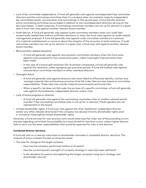- *Lack of key committee independence*. A fund will generally vote against nonindependent key committee directors and the nominating committee chair if a company does not maintain majority independent key committees (audit, remuneration and nominating). In the second year, a fund will also hold the entire nominating committee accountable in addition to the nonindependent directors serving on the key committees. In both instances, if nominating committee members are not up for election in a given year, a fund may vote against another relevant board member.
- *Audit failures.* A fund will generally vote against audit committee members when non-audit fees exceed audit-related fees without sufficient disclosure or when the fund votes against an audit-related management proposal. A fund will generally vote against audit committee members in instances of a material misstatement or concerns about the integrity of the accounts. In both instances, if audit committee members are not up for election in a given year, a fund may vote against another relevant board member.
- *Remuneration-related situations*
	- A fund will generally vote against remuneration committee members when the fund votes against a pay proposal for two consecutive years, unless meaningful improvements have been made.
	- In the case of a board spill resolution (for Australian companies), a fund will generally vote against the resolution unless egregious pay practices persist. A fund will instead vote against remuneration committee members or other individual directors.
- *• Oversight failure*
	- A fund will generally vote against directors who have failed to effectively identify, monitor and manage material risks and business practices that fall under their purview based on committee responsibilities. These risks may include material environmental and social risks.
	- When a specific risk does not fall under the purview of a specific committee, a fund will generally vote against the lead/senior independent director and/or chair.
- *• Lack of board progress on diversity*
	- A fund will generally vote against the nominating committee chair, or another relevant board member if the nominating committee chair is not up for re-election, if both genders are not represented on the board.
- *• Limited shareholder rights.* A fund may vote against the chair, lead/senior independent director and/or any other relevant director(s) if the company has abused minority shareholder rights and/ or somehow meaningfully limited shareholder rights.

Generally, a fund will vote for new directors who would otherwise fail under any of the preceding circumstances regarding committee accountability but have served for less than a year, unless a given director fails to carry out the basic responsibilities that would be expected for even a new director.

# **Contested director elections**

A fund will vote on a case-by-case basis on shareholder nominees in contested director elections. The analysis of proxy contests focuses on three key areas:

- *The case for change at the target company*
	- How has the company performed relative to its peers?
	- Has the current board's oversight of company strategy or execution been deficient?
	- Is the dissident focused on strengthening the target company's long-term strategy and shareholder returns?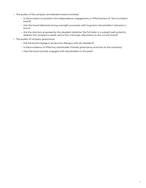- *The quality of the company and dissident board nominees*
	- Is there reason to question the independence, engagement or effectiveness of the incumbent board?
	- Has the board delivered strong oversight processes with long-term shareholders' interests in focus?
	- Are the directors proposed by the dissident (whether the full slate or a subset) well-suited to address the company's needs, and is this a stronger alternative to the current board?
- *The quality of company governance*
	- Did the board engage in productive dialogue with the dissident?
	- Is there evidence of effective, shareholder-friendly governance practices at the company?
	- Has the board actively engaged with shareholders in the past?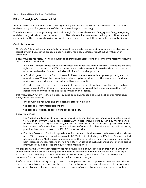#### Pillar II: Oversight of strategy and risk

Boards are responsible for effective oversight and governance of the risks most relevant and material to each company and for governance of the company's long-term strategy.

They should take a thorough, integrated and thoughtful approach to identifying, quantifying, mitigating and disclosing risks that have the potential to affect shareholder value over the long term. Boards should communicate their approach to risk oversight to shareholders through their normal course of business.

# **Capital structures**

- *Dividends.* A fund will generally vote for proposals to allocate income and for proposals to allow a stock (scrip) dividend, unless the proposal does not allow for a cash option or is not in line with market standards.
- *Share issuance requests.* The total dilution to existing shareholders and the company's history of issuing capital will be considered.
	- A fund will generally vote for routine ratifications of past issuance of shares without pre-emptive rights up to a maximum of 15% of the current issued share capital, provided that the issuance occurred within the 12-month period and in line with market practice.
	- A fund will generally vote for routine capital issuance requests without pre-emptive rights up to a maximum of 15% of the current issued share capital, provided that the issuance authorities' periods are clearly disclosed and in line with market practice.
	- A fund will generally vote for routine capital issuance requests with pre-emptive rights up to a maximum of 50% of the current issued share capital, provided that the issuance authorities' periods are clearly disclosed and in line with market practice.
- *Debt issuance.* A fund will vote on a case-by-case basis on proposals to issue debt and/or restructure debt, taking into account:
	- any convertible features and the potential effect on dilution;
	- the company's financial position; and
	- the company's ability to take on the proposed debt.
- *Share repurchase*
	- For Australia, a fund will typically vote for routine authorities to repurchase additional shares up to 10% of the current issued share capital (20% in total, including the 10% in a 12-month period allowed under the Corporations Act), so long as the terms of the repurchase appear to be in the best interests of shareholders, there is no history of abuse of such authorisations, and the pricing premium is equal to or less than 5% of fair market price.
	- For New Zealand, a fund will typically vote for routine authorities to repurchase additional shares up to 5% of the current issued share capital (20% in total, including the 15% in a 12-month period allowed under the NZX Listing Rules), so long as the terms of the repurchase appear to be in the best interests of shareholders, there is no history of abuse of such authorizations, and the pricing premium is equal to or less than 20% of fair market price.
- *Reverse stock split.* A fund will typically vote for a reverse split of outstanding shares if the number of shares authorised is proportionately reduced and the difference in reduction results in dilution equal to or less than 100%. Regardless of the level of dilution, it will generally vote for a reverse split if it is necessary for the company to remain listed on its current exchange.
- *Preferred stock.* A fund will typically vote on a case-by-case basis on proposals to create/amend/issue preferred stock, taking into account the reason for the issuance, the ownership profile of the company, any historical abuses of share issuances and the company's general approach to shareholder rights.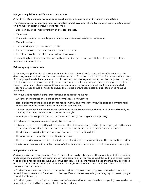# **Mergers, acquisitions and financial transactions**

A fund will vote on a case-by-case basis on all mergers, acquisitions and financial transactions.

The strategic, operational and financial benefits (and drawbacks) of the transaction are evaluated based on a number of criteria, including the following:

- Board and management oversight of the deal process.
- Valuation.
- Prospects for long-term enterprise value under a standalone/alternate scenario.
- Market reaction.
- The surviving entity's governance profile.
- Fairness opinions from independent financial advisers.
- Effect on stakeholders, if relevant to long-term value.

In evaluating board oversight, the fund will consider independence, potential conflicts of interest and management incentives.

# **Related-party transactions**

In general, companies should refrain from entering into related-party transactions with nonexecutive directors, executive directors and shareholders because of the potential conflicts of interest that can arise. If a company does decide to enter into such a transaction, the expectation is that the company will comply with the relevant corporate law in its jurisdiction and/or the listing rules on the exchange on which it is listed. The company should ensure the related party does not vote on the relevant resolution and all reasonable steps should be taken to ensure the related party's associates do not vote on the relevant resolution.

When evaluating related-party transactions, considerations include:

- whether the transaction is part of the normal course of business;
- clear disclosure of the details of the transaction, including who is involved, the price and any financial conditions, and the board's justification of the transaction;
- whether there has been independent verification of the transaction, either by a third party (that is, an auditor) or an independent board committee; and/or
- the length of the approval process of the transaction (preferring annual approval).
- A fund may vote against a related-party transaction if:
- it is a substantial transaction with a nonexecutive director (especially when the company classifies such director as independent) and there are concerns about the level of independence on the board;
- the disclosure provided by the company is incomplete or is lacking detail;
- the approval length for the transaction is excessive;
- there are serious concerns about the independent verification and/or pricing of the transaction; and/or
- the transaction may not be in the interest of minority shareholders and/or it diminishes shareholder rights.

#### **Independent auditors**

*Auditor appointment and auditor's fees.* A fund will generally vote against the appointment of the auditor and setting the auditor's fees in instances where tax and all other fees exceed the audit and audit-related fees and/or a reasonable amount, unless the company's disclosure makes it clear that the non-audit fees are for services that do not impair independence and/or the imbalance was due to an event that was transactional and one-off.

A fund will vote on a case-by-case basis on the auditors' appointment/reappointment when there is a material misstatement of financials or other significant concern regarding the integrity of the company's financial statements.

A fund will generally vote for the appointment of a new auditor unless there is a compelling reason why the new auditor selected by the board should not be endorsed.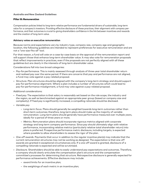#### Pillar III: Remuneration

Compensation policies linked to long-term relative performance are fundamental drivers of sustainable, long-term value for a company's investors. Providing effective disclosure of these practices, their alignment with company performance, and their outcomes is crucial to giving shareholders confidence in the link between incentives and rewards and the creation of long-term value.

#### **Advisory votes on executive remuneration**

Because norms and expectations vary by industry type, company size, company age and geographic location, the following guidelines are intended to represent preferences for executive remuneration and are not a "one-size-fits-all" tool.

For that reason, a fund will vote on a case-by-case basis on the approval of the remuneration report and will support those that enhance long-term shareholder value. It may also vote for remuneration proposals that reflect improvements in practices, even if the proposals are not perfectly aligned with all these guidelines but are clearly in the interests of long-term shareholder value.

Considerations fall into two broad categories:

- *Pay-for-performance.* This is mainly assessed through analysis of three-year total shareholder return and realised pay over the same period. If there are concerns that pay and performance are not aligned, a fund may vote against a pay-related proposal.
- *Structure.* Plan structures should be aligned with the company's long-term strategy and should support pay-for-performance alignment. Where a plan includes a number of structures which could lead to pay-for-performance misalignment, a fund may vote against a pay-related proposal.

Additional considerations:

- *Fixed pay.* The expectation is that salary is reasonably set based on the role scope, the industry and the region, as well as benchmarked against an appropriate peer group (based on company size and complexity). If fixed pay is significantly increased, a compelling rationale should be disclosed.
- *Variable pay*
	- *Long-term focus.* Plans should generally be weighted towards long-term outcomes rather than short-term outcomes; therefore, long-term plans should make up the majority of variable remuneration. Long-term plans should generally have performance measured over multiple years, ideally for a period of three years or more.
	- *Metrics*. Remuneration plans should incorporate rigorous metrics aligned with corporate strategy and long-term company performance. Since pay should ultimately align with relative performance, incorporating relative metrics (particularly relative total shareholder return) into plans is preferred. Prospective performance metric disclosure, including targets, is expected where possible to allow shareholders to assess the rigor of the plan.
- *One-off awards.* Payments that occur in addition to the regular incentive plan(s) may indicate that the current remuneration structures may not be working as designed. The expectation is that one-off awards are granted in exceptional circumstances only. If a one-off award is granted, disclosure of a compelling rationale is expected and will be scrutinised.
- *Disclosure.* Shareholders should be able to easily understand pay expectations and outcomes. Therefore, a company should clearly articulate the compensation plan's structure and the compensation committee's processes for determining that structure. Retrospective disclosure is generally expected for performance achievements. Effective disclosure may include:
	- award limits for an incentive plan;
	- the weightings of each metric in an incentive plan;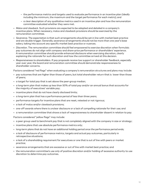- the performance metrics and targets used to evaluate performance in an incentive plan (ideally including the minimum, the maximum and the target performance for each metric); and
- a clear description of any qualitative metrics used in an incentive plan and how the remuneration committee evaluated whether they were met.
- *Malus and clawback.* Such provisions are expected to be adopted and detailed in a company's incentive plans. When necessary, malus and clawback provisions should be exercised by the remuneration committee.
- *Severance.* The expectation is that such arrangements should be set in line with market best practice and are double-trigger. Generally, severance arrangements should not be more than one year's base salary, taking into account any specific market best practice or nuances.
- *Discretion.* The remuneration committee should feel empowered to exercise discretion when formulaic pay outcomes do not align with company and share-price performance or shareholders' experience. A remuneration committee should provide enhanced disclosure when exercising discretion, clearly explaining the rationale for such discretion and how the committee arrived at this decision.
- *Responsiveness to shareholders.* If pay proposals receive low support or shareholder feedback, especially year over year, the board and remuneration committee should demonstrate responsiveness to shareholder concerns.

Factors considered "red flags" when evaluating a company's remuneration structures and plans may include:

- pay outcomes that are higher than those of peers, but total shareholder return that is lower than those of peers;
- a target for total pay that is set above the peer-group median;
- a long-term plan that makes up less than 50% of total pay and/or an annual bonus that accounts for the majority of executives' variable pay;
- incentive plans that do not have clearly disclosed limits;
- a long-term plan that has a performance period of less than three years;
- performance targets for incentive plans that are reset, retested or not rigorous;
- a lack of malus and/or clawback provisions;
- one-off awards where there is unclear disclosure or a lack of compelling rationale for their use; and
- a remuneration committee that shows a lack of responsiveness to shareholder dissent in relation to pay.

Factors considered "yellow flags" may include:

- a peer group used to benchmark pay that is not completely aligned with the company in size or strategy;
- incentive plans that use absolute performance metrics only;
- long-term plans that do not have an additional holding period once the performance period ends;
- a lack of disclosure of performance metrics, targets and actual pay outcomes, particularly in retrospective situations;
- a lack of a shareholding requirement for executives or one that is out of line with peers or market practice;
- severance arrangements that are excessive or out of line with market best practice; and
- the remuneration committee's use only of positive discretion and/or holding of excessive authority to use discretion to determine pay outcomes.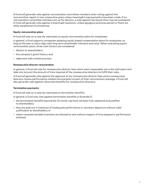A fund will generally vote against remuneration committee members when voting against the remuneration report in two consecutive years unless meaningful improvements have been made. If no remuneration committee members are up for election, a vote against the board chair may be considered. A fund will generally vote against a board spill resolution, unless egregious practices persist or there are other exceptional circumstances.

# **Equity remuneration plans**

A fund will vote on a case-by-case basis on equity remuneration plans for employees.

In general, a fund supports companies adopting equity-based compensation plans for employees, so long as the plan or plans align with long-term shareholder interests and value. When evaluating equity remuneration plans, three main factors are considered:

- dilution to shareholders;
- the company's grant history; and
- alignment with market practice.

# **Nonexecutive director remuneration**

In general, a fund will vote for nonexecutive director fees which seem reasonable, are in line with peers and take into account the amount of time required of the nonexecutive directors to fulfill their roles.

A fund will generally vote against the approval of any nonexecutive director fees where nonexecutive directors receive performance-related remuneration as part of their remuneration package. A fund will also generally vote against retirement benefits for nonexecutive directors.

# **Termination payments**

A fund will vote on a case-by-case basis on termination benefits.

In general, a fund may vote against termination benefits in Australia if:

- the termination benefits beyond the 12-month cap have not been fully explained and justified to shareholders;
- they are paid out in instances of inadequate performance or voluntary departure without valid justification to shareholders; or
- where unvested variable incentives are allowed to vest without respect of time elapsed or performance achieved.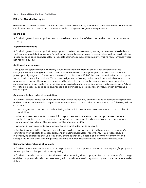# Pillar IV: Shareholder rights

Governance structures empower shareholders and ensure accountability of the board and management. Shareholders should be able to hold directors accountable as needed through certain governance provisions.

# **Board size**

A fund will generally vote against proposals to limit the number of directors on the board or declare a "no vacancy".

# **Supermajority voting**

A fund will generally vote against any proposal to extend supermajority voting requirements to decisions that are not stipulated by law and/or not in the best interest of minority shareholder rights. It will vote on a case-by-case basis on shareholder proposals asking to remove supermajority voting requirements where not required by law.

# **Additional share classes**

This guideline applies when a company issues more than one class of stock, with different classes carrying different voting rights. The funds' approach to this issue is principled yet practical. It remains philosophically aligned to "one-share, one-vote" but also is mindful of the need not to hinder public capital formation in the equity markets. To that end, alignment of voting and economic interests is a foundation of good governance. The approach supports the idea of a newly public, dual-class company adopting a sunset provision that would move the company towards a one-share, one-vote structure over time. A fund will vote on a case-by-case basis on proposals to eliminate dual-class share structures with differential voting rights.

### **Amendments to articles of association**

A fund will generally vote for minor amendments that include any administrative or housekeeping updates and corrections. When evaluating all other amendments to the articles of association, the following will be considered:

- any changes to corporate law and/or listing rules which may require an amendment to the articles of association;
- whether the amendments may result in corporate governance structures and/processes that are not best practice or are a regression from what the company already does (taking into account any explanation provided by the company for the change); and/or
- whether the amendments are detrimental to shareholder rights generally.

In Australia, a fund is likely to vote against shareholder proposals submitted to amend the company's constitution to facilitate the submission of nonbinding shareholder resolutions. This process should, in general, be addressed through regulatory changes that could establish a common framework and safeguards, rather than through private ordering and modifications of the company's constitution.

#### **Reincorporation/Change of domicile**

A fund will vote on a case-by-case basis on proposals to reincorporate to another country and/or proposals for companies to change their primary listing.

A fund will consider the reasons for the relocation, including the company's history, the company's strategy and the company's shareholder base, along with any differences in regulation, governance and shareholder rights.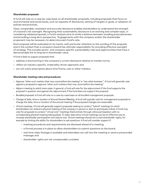# **Shareholder proposals**

A fund will vote on a case-by-case basis on all shareholder proposals, including proposals that focus on environmental and social issues, such as requests of disclosures, setting of targets or goals, or adoption of policies and practices.

Clear, comparable, consistent and accurate disclosure enables shareholders to understand the strength of a board's risk oversight. Recognizing that sustainability disclosure is an evolving and complex topic, in considering related proposals, a fund's analysis aims to strike a balance between avoiding prescriptiveness and providing a long-term perspective. Engagements with the company and/or the shareholder proponent may be necessary to determine each fund's vote.

Each proposal will be evaluated on its merits, with particular attention to the wording of the proposal, and in the context that a company's board has ultimate responsibility for providing effective oversight of strategy. This includes sector- and company-specific sustainability risks and opportunities that have a demonstrable link to long-term shareholder value.

A fund is likely to support proposals that:

- address a shortcoming in the company's current disclosure relative to market norms;
- reflect an industry-specific, materiality-driven approach; and
- are not overly prescriptive about time frame, cost or other matters.

#### **Shareholder meeting rules and procedures**

- *Approve "other such matters that may come before the meeting"* or "*any other business."* A fund will generally vote against a proposal to approve "other such matters that may come before the meeting."
- *Adjourn meeting to solicit more votes.* In general, a fund will vote for the adjournment if the fund supports the proposal in question and against the adjournment if the fund does not support the proposal.
- *Bundled proposals*. A fund will vote on a case-by-case basis on all bundled management proposals.
- *Change of date, time or location of Annual General Meeting.* A fund will typically vote for management proposals to change the date, time or location of the annual meeting if the proposed changes are reasonable.
- *Virtual meetings.* A fund will generally support proposals seeking to conduct "hybrid" meetings (in which shareholders can attend a physical meeting of the company in person or elect to participate online). A fund may vote for proposals to conduct "virtual-only" meetings (held entirely through online participation with no corresponding physical meeting taking place). To date, data show virtual meetings can be an effective way to increase shareholder participation and reduce cost. Virtual meetings should not curtail shareholder rights, for example by limiting the ability for shareholders to ask questions. A fund will consider support if:
	- meeting procedures and requirements are disclosed ahead of a meeting;
	- a formal process is in place to allow shareholders to submit questions to the board;
	- real-time video footage is available and attendees can call into the meeting or send a prerecorded message; and
	- shareholder rights are not unreasonably curtailed.